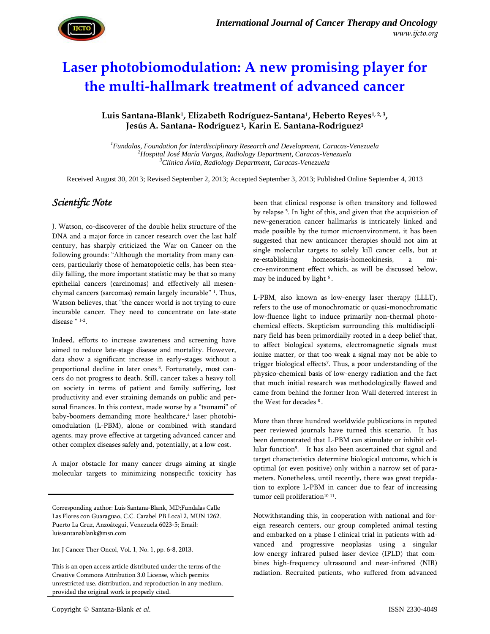

# **Laser photobiomodulation: A new promising player for the multi-hallmark treatment of advanced cancer**

#### **Luis Santana-Blank1, Elizabeth Rodríguez-Santana1, Heberto Reyes1, 2, <sup>3</sup>, Jesús A. Santana- Rodríguez <sup>1</sup>, Karin E. Santana-Rodríguez<sup>1</sup>**

*<sup>1</sup>Fundalas, Foundation for Interdisciplinary Research and Development, Caracas-Venezuela <sup>2</sup>Hospital José María Vargas, Radiology Department, Caracas-Venezuela <sup>3</sup>Clínica Ávila, Radiology Department, Caracas-Venezuela*

Received August 30, 2013; Revised September 2, 2013; Accepted September 3, 2013; Published Online September 4, 2013

### *Scientific Note*

J. Watson, co-discoverer of the double helix structure of the DNA and a major force in cancer research over the last half century, has sharply criticized the War on Cancer on the following grounds: "Although the mortality from many can-<br>re-establishing cers, particularly those of hematopoietic cells, has been stea dily falling, the more important statistic may be that so many epithelial cancers (carcinomas) and effectively all mesen chymal cancers (sarcomas) remain largely incurable" <sup>1</sup> . Thus, Watson believes, that "the cancer world is not trying to cure incurable cancer. They need to concentrate on late-state disease " <sup>1-2</sup>.

Indeed, efforts to increase awareness and screening have aimed to reduce late-stage disease and mortality. However, data show a significant increase in early-stages without a proportional decline in later ones<sup>3</sup>. Fortunately, most cancers do not progress to death. Still, cancer takes a heavy toll on society in terms of patient and family suffering, lost productivity and ever straining demands on public and personal finances. In this context, made worse by a "tsunami" of baby-boomers demanding more healthcare,<sup>4</sup> laser photobiomodulation (L-PBM), alone or combined with standard agents, may prove effective at targeting advanced cancer and other complex diseases safely and, potentially, at a low cost.

A major obstacle for many cancer drugs aiming at single molecular targets to minimizing nonspecific toxicity has

Int J Cancer Ther Oncol, Vol. 1, No. 1, pp. 6-8, 2013.

This is an open access article distributed under the terms of the Creative Commons Attribution 3.0 License, which permits unrestricted use, distribution, and reproduction in any medium, provided the original work is properly cited.

been that clinical response is often transitory and followed by relapse <sup>5</sup> . In light of this, and given that the acquisition of new-generation cancer hallmarks is intricately linked and made possible by the tumor microenvironment, it has been suggested that new anticancer therapies should not aim at single molecular targets to solely kill cancer cells, but at homeostasis-homeokinesis, a micro-environment effect which, as will be discussed below, may be induced by light <sup>6</sup>.

L-PBM, also known as low-energy laser therapy (LLLT), refers to the use of monochromatic or quasi-monochromatic low-fluence light to induce primarily non-thermal photo chemical effects. Skepticism surrounding this multidisciplinary field has been primordially rooted in a deep belief that, to affect biological systems, electromagnetic signals must ionize matter, or that too weak a signal may not be able to trigger biological effects<sup>7</sup> . Thus, a poor understanding of the physico-chemical basis of low-energy radiation and the fact that much initial research was methodologically flawed and came from behind the former Iron Wall deterred interest in the West for decades <sup>8</sup> .

More than three hundred worldwide publications in reputed peer reviewed journals have turned this scenario. It has been demonstrated that L-PBM can stimulate or inhibit cellular function<sup>9</sup>. It has also been ascertained that signal and target characteristics determine biological outcome, which is optimal (or even positive) only within a narrow set of para meters. Nonetheless, until recently, there was great trepidation to explore L-PBM in cancer due to fear of increasing tumor cell proliferation<sup>10-11</sup>.

Notwithstanding this, in cooperation with national and for eign research centers, our group completed animal testing and embarked on a phase I clinical trial in patients with advanced and progressive neoplasias using a singular low-energy infrared pulsed laser device (IPLD) that com bines high-frequency ultrasound and near-infrared (NIR) radiation. Recruited patients, who suffered from advanced

Corresponding author: Luis Santana-Blank, MD;Fundalas Calle Las Flores con Guaraguao, C.C. Carabel PB Local 2, MUN 1262. Puerto La Cruz, Anzoátegui, Venezuela 6023-5; Email: luissantanablank@msn.com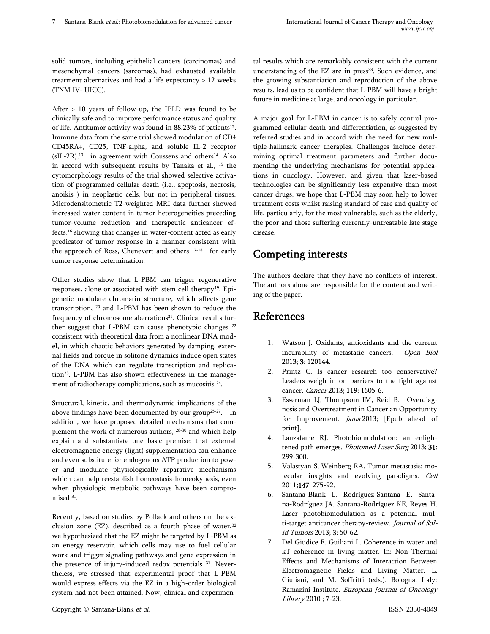solid tumors, including epithelial cancers (carcinomas) and mesenchymal cancers (sarcomas), had exhausted available treatment alternatives and had a life expectancy  $\geq 12$  weeks (TNM IV- UICC).

After > 10 years of follow-up, the IPLD was found to be clinically safe and to improve performance status and quality of life. Antitumor activity was found in 88.23% of patients<sup>12</sup>. Immune data from the same trial showed modulation of CD4 CD45RA+, CD25, TNF-alpha, and soluble IL-2 receptor  $(sIL-2R)$ ,<sup>13</sup> in agreement with Coussens and others<sup>14</sup>. Also in accord with subsequent results by Tanaka et al., <sup>15</sup> the cytomorphology results of the trial showed selective activation of programmed cellular death (i.e., apoptosis, necrosis, anoikis ) in neoplastic cells, but not in peripheral tissues. Microdensitometric T2-weighted MRI data further showed increased water content in tumor heterogeneities preceding tumor-volume reduction and therapeutic anticancer effects,<sup>16</sup> showing that changes in water-content acted as early predicator of tumor response in a manner consistent with the approach of Ross, Chenevert and others 17-18 for early tumor response determination.

Other studies show that L-PBM can trigger regenerative responses, alone or associated with stem cell therapy<sup>19</sup>. Epigenetic modulate chromatin structure, which affects gene transcription, <sup>20</sup> and L-PBM has been shown to reduce the frequency of chromosome aberrations<sup>21</sup>. Clinical results further suggest that L-PBM can cause phenotypic changes <sup>22</sup> consistent with theoretical data from a nonlinear DNA model, in which chaotic behaviors generated by damping, exter nal fields and torque in solitone dynamics induce open states of the DNA which can regulate transcription and replication<sup>23</sup>. L-PBM has also shown effectiveness in the management of radiotherapy complications, such as mucositis <sup>24</sup>.

Structural, kinetic, and thermodynamic implications of the above findings have been documented by our group<sup>25-27</sup>. In addition, we have proposed detailed mechanisms that com plement the work of numerous authors, 28-30 and which help explain and substantiate one basic premise: that external electromagnetic energy (light) supplementation can enhance and even substitute for endogenous ATP production to pow er and modulate physiologically reparative mechanisms which can help reestablish homeostasis-homeokynesis, even when physiologic metabolic pathways have been compro mised <sup>31</sup> .

Recently, based on studies by Pollack and others on the ex clusion zone (EZ), described as a fourth phase of water, $32$ we hypothesized that the EZ might be targeted by L-PBM as an energy reservoir, which cells may use to fuel cellular work and trigger signaling pathways and gene expression in the presence of injury-induced redox potentials <sup>31</sup>. Nevertheless, we stressed that experimental proof that L-PBM would express effects via the EZ in a high-order biological system had not been attained. Now, clinical and experimental results which are remarkably consistent with the current understanding of the EZ are in press<sup>33</sup>. Such evidence, and the growing substantiation and reproduction of the above results, lead us to be confident that L-PBM will have a bright future in medicine at large, and oncology in particular.

A major goal for L-PBM in cancer is to safely control pro grammed cellular death and differentiation, as suggested by referred studies and in accord with the need for new multiple-hallmark cancer therapies. Challenges include deter mining optimal treatment parameters and further docu menting the underlying mechanisms for potential applications in oncology. However, and given that laser-based technologies can be significantly less expensive than most cancer drugs, we hope that L-PBM may soon help to lower treatment costs whilst raising standard of care and quality of life, particularly, for the most vulnerable, such as the elderly, the poor and those suffering currently-untreatable late stage disease.

## **Competing interests**

The authors declare that they have no conflicts of interest. The authors alone are responsible for the content and writing of the paper.

## **References**

- 1. Watson J. Oxidants, antioxidants and the current incurability of metastatic cancers. *Open Biol* 2013; **3**: 120144.
- 2. Printz C. Is cancer research too conservative? Leaders weigh in on barriers to the fight against cancer. *Cancer* 2013; **119**: 1605-6.
- 3. Esserman LJ, Thompsom IM, Reid B. Overdiagnosis and Overtreatment in Cancer an Opportunity for Improvement. *Jama* 2013; [Epub ahead of print].
- 4. Lanzafame RJ. Photobiomodulation: an enlightened path emerges. *Photomed Laser Surg* 2013; **31**: 299-300.
- 5. Valastyan S, Weinberg RA. Tumor metastasis: molecular insights and evolving paradigms. *Cell* 2011;**147**: 275-92.
- 6. Santana-Blank L, Rodríguez-Santana E, Santa na-Rodríguez JA, Santana-Rodríguez KE, Reyes H. Laser photobiomodulation as a potential multi-target anticancer therapy-review. *Journal of Solid Tumors* 2013; **3**: 50-62.
- 7. Del Giudice E, Guiliani L. Coherence in water and kT coherence in living matter. In: Non Thermal Effects and Mechanisms of Interaction Between Electromagnetic Fields and Living Matter. L. Giuliani, and M. Soffritti (eds.). Bologna, Italy: Ramazini Institute. *European Journal of Oncology Library* 2010 ; 7-23.